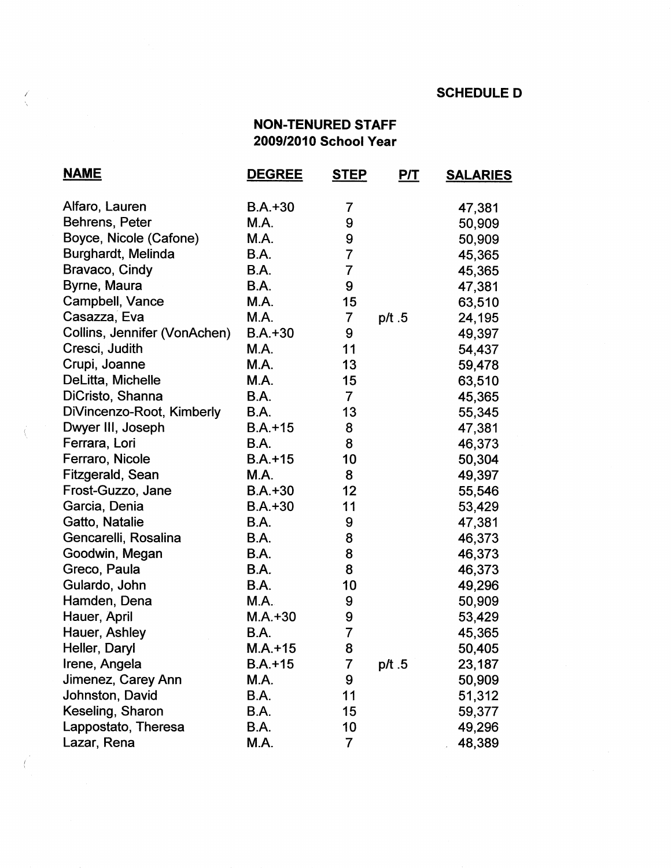## **SCHEDULE D**

## **NON-TENURED STAFF 2009/2010 School Year**

| <b>NAME</b>                  | <b>DEGREE</b> | <u>STEP</u>      | <u>P/T</u> | <b>SALARIES</b> |
|------------------------------|---------------|------------------|------------|-----------------|
| Alfaro, Lauren               | $B.A. + 30$   | 7                |            | 47,381          |
| Behrens, Peter               | M.A.          | 9                |            | 50,909          |
| Boyce, Nicole (Cafone)       | M.A.          | 9                |            | 50,909          |
| <b>Burghardt, Melinda</b>    | B.A.          | $\overline{7}$   |            | 45,365          |
| Bravaco, Cindy               | B.A.          | $\overline{7}$   |            | 45,365          |
| Byrne, Maura                 | <b>B.A.</b>   | 9                |            | 47,381          |
| Campbell, Vance              | M.A.          | 15               |            | 63,510          |
| Casazza, Eva                 | M.A.          | $\overline{7}$   | p/t.5      | 24,195          |
| Collins, Jennifer (VonAchen) | $B.A.+30$     | 9                |            | 49,397          |
| Cresci, Judith               | M.A.          | 11               |            | 54,437          |
| Crupi, Joanne                | M.A.          | 13               |            | 59,478          |
| DeLitta, Michelle            | M.A.          | 15               |            | 63,510          |
| DiCristo, Shanna             | <b>B.A.</b>   | $\overline{7}$   |            | 45,365          |
| DiVincenzo-Root, Kimberly    | <b>B.A.</b>   | 13               |            | 55,345          |
| Dwyer III, Joseph            | $B.A.+15$     | 8                |            | 47,381          |
| Ferrara, Lori                | <b>B.A.</b>   | 8                |            | 46,373          |
| Ferraro, Nicole              | $B.A.+15$     | 10               |            | 50,304          |
| Fitzgerald, Sean             | M.A.          | 8                |            | 49,397          |
| Frost-Guzzo, Jane            | $B.A.+30$     | 12               |            | 55,546          |
| Garcia, Denia                | $B.A.+30$     | 11               |            | 53,429          |
| Gatto, Natalie               | B.A.          | 9                |            | 47,381          |
| Gencarelli, Rosalina         | B.A.          | 8                |            | 46,373          |
| Goodwin, Megan               | <b>B.A.</b>   | 8                |            | 46,373          |
| Greco, Paula                 | B.A.          | 8                |            | 46,373          |
| Gulardo, John                | B.A.          | 10               |            | 49,296          |
| Hamden, Dena                 | M.A.          | 9                |            | 50,909          |
| Hauer, April                 | $M.A. + 30$   | $\boldsymbol{9}$ |            | 53,429          |
| Hauer, Ashley                | <b>B.A.</b>   | $\overline{7}$   |            | 45,365          |
| Heller, Daryl                | $M.A. + 15$   | 8                |            | 50,405          |
| Irene, Angela                | $B.A.+15$     | 7                | p/t.5      | 23,187          |
| Jimenez, Carey Ann           | M.A.          | 9                |            | 50,909          |
| Johnston, David              | B.A.          | 11               |            | 51,312          |
| Keseling, Sharon             | B.A.          | 15               |            | 59,377          |
| Lappostato, Theresa          | B.A.          | 10               |            | 49,296          |
| Lazar, Rena                  | M.A.          | 7                |            | 48,389          |